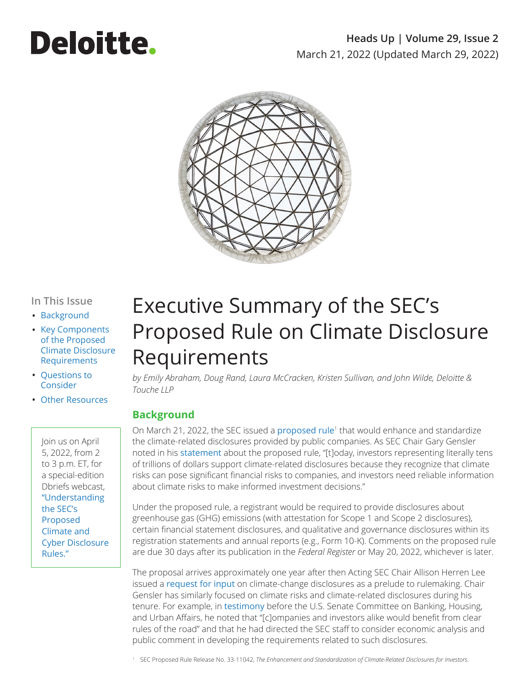# **Deloitte.**

### **Heads Up | Volume 29, Issue 2** March 21, 2022 (Updated March 29, 2022)



#### **In This Issue**

- [Background](#page-0-0)
- [Key Components](#page-1-0)  [of the Proposed](#page-1-0)  [Climate Disclosure](#page-1-0)  [Requirements](#page-1-0)
- [Questions to](#page-2-0)  [Consider](#page-2-0)
- [Other Resources](#page-3-0)

Join us on April 5, 2022, from 2 to 3 p.m. ET, for a special-edition Dbriefs webcast, ["Understanding](https://www2.deloitte.com/us/en/events/financial-executives-dbriefs-webcasts/2022/understanding-the-secs-proposed-climate-and-cyber-disclosure-rules.html)  [the SEC's](https://www2.deloitte.com/us/en/events/financial-executives-dbriefs-webcasts/2022/understanding-the-secs-proposed-climate-and-cyber-disclosure-rules.html)  [Proposed](https://www2.deloitte.com/us/en/events/financial-executives-dbriefs-webcasts/2022/understanding-the-secs-proposed-climate-and-cyber-disclosure-rules.html)  [Climate and](https://www2.deloitte.com/us/en/events/financial-executives-dbriefs-webcasts/2022/understanding-the-secs-proposed-climate-and-cyber-disclosure-rules.html)  [Cyber Disclosure](https://www2.deloitte.com/us/en/events/financial-executives-dbriefs-webcasts/2022/understanding-the-secs-proposed-climate-and-cyber-disclosure-rules.html)  [Rules."](https://www2.deloitte.com/us/en/events/financial-executives-dbriefs-webcasts/2022/understanding-the-secs-proposed-climate-and-cyber-disclosure-rules.html)

## Executive Summary of the SEC's Proposed Rule on Climate Disclosure Requirements

*by Emily Abraham, Doug Rand, Laura McCracken, Kristen Sullivan, and John Wilde, Deloitte & Touche LLP*

#### <span id="page-0-0"></span>**Background**

On March 21, 2022, the SEC issued a [proposed rule](https://www.sec.gov/rules/proposed/2022/33-11042.pdf)<sup>1</sup> that would enhance and standardize the climate-related disclosures provided by public companies. As SEC Chair Gary Gensler noted in his [statement](https://www.sec.gov/news/statement/gensler-climate-disclosure-20220321?utm_medium=email&utm_source=govdelivery) about the proposed rule, "[t]oday, investors representing literally tens of trillions of dollars support climate-related disclosures because they recognize that climate risks can pose significant financial risks to companies, and investors need reliable information about climate risks to make informed investment decisions."

Under the proposed rule, a registrant would be required to provide disclosures about greenhouse gas (GHG) emissions (with attestation for Scope 1 and Scope 2 disclosures), certain financial statement disclosures, and qualitative and governance disclosures within its registration statements and annual reports (e.g., Form 10-K). Comments on the proposed rule are due 30 days after its publication in the *Federal Register* or May 20, 2022, whichever is later.

The proposal arrives approximately one year after then Acting SEC Chair Allison Herren Lee issued a [request for input](https://www.sec.gov/news/public-statement/lee-climate-change-disclosures) on climate-change disclosures as a prelude to rulemaking. Chair Gensler has similarly focused on climate risks and climate-related disclosures during his tenure. For example, in [testimony](https://www.sec.gov/news/testimony/gensler-2021-09-14) before the U.S. Senate Committee on Banking, Housing, and Urban Affairs, he noted that "[c]ompanies and investors alike would benefit from clear rules of the road" and that he had directed the SEC staff to consider economic analysis and public comment in developing the requirements related to such disclosures.

<sup>1</sup> SEC Proposed Rule Release No. 33-11042, *The Enhancement and Standardization of Climate-Related Disclosures for Investors*.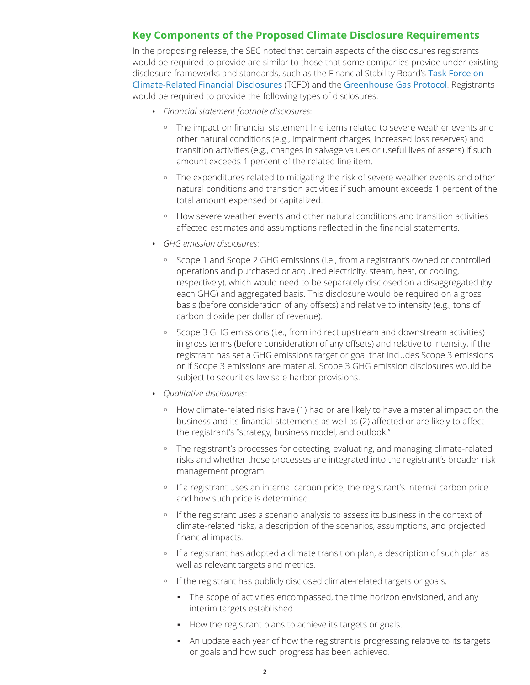#### <span id="page-1-0"></span>**Key Components of the Proposed Climate Disclosure Requirements**

In the proposing release, the SEC noted that certain aspects of the disclosures registrants would be required to provide are similar to those that some companies provide under existing disclosure frameworks and standards, such as the Financial Stability Board's [Task Force on](https://www.fsb-tcfd.org/)  [Climate-Related Financial Disclosures](https://www.fsb-tcfd.org/) (TCFD) and the [Greenhouse Gas Protocol](https://ghgprotocol.org/). Registrants would be required to provide the following types of disclosures:

- <span id="page-1-1"></span>• *Financial statement footnote disclosures*:
	- <sup>o</sup> The impact on financial statement line items related to severe weather events and other natural conditions (e.g., impairment charges, increased loss reserves) and transition activities (e.g., changes in salvage values or useful lives of assets) if such amount exceeds 1 percent of the related line item.
	- <sup>o</sup> The expenditures related to mitigating the risk of severe weather events and other natural conditions and transition activities if such amount exceeds 1 percent of the total amount expensed or capitalized.
	- <sup>o</sup> How severe weather events and other natural conditions and transition activities affected estimates and assumptions reflected in the financial statements.
- *GHG emission disclosures*:
	- <sup>o</sup> Scope 1 and Scope 2 GHG emissions (i.e., from a registrant's owned or controlled operations and purchased or acquired electricity, steam, heat, or cooling, respectively), which would need to be separately disclosed on a disaggregated (by each GHG) and aggregated basis. This disclosure would be required on a gross basis (before consideration of any offsets) and relative to intensity (e.g., tons of carbon dioxide per dollar of revenue).
	- <sup>o</sup> Scope 3 GHG emissions (i.e., from indirect upstream and downstream activities) in gross terms (before consideration of any offsets) and relative to intensity, if the registrant has set a GHG emissions target or goal that includes Scope 3 emissions or if Scope 3 emissions are material. Scope 3 GHG emission disclosures would be subject to securities law safe harbor provisions.
- *Qualitative disclosures*:
	- <sup>o</sup> How climate-related risks have (1) had or are likely to have a material impact on the business and its financial statements as well as (2) affected or are likely to affect the registrant's "strategy, business model, and outlook."
	- <sup>o</sup> The registrant's processes for detecting, evaluating, and managing climate-related risks and whether those processes are integrated into the registrant's broader risk management program.
	- o If a registrant uses an internal carbon price, the registrant's internal carbon price and how such price is determined.
	- o If the registrant uses a scenario analysis to assess its business in the context of climate-related risks, a description of the scenarios, assumptions, and projected financial impacts.
	- o If a registrant has adopted a climate transition plan, a description of such plan as well as relevant targets and metrics.
	- <sup>o</sup> If the registrant has publicly disclosed climate-related targets or goals:
		- The scope of activities encompassed, the time horizon envisioned, and any interim targets established.
		- How the registrant plans to achieve its targets or goals.
		- An update each year of how the registrant is progressing relative to its targets or goals and how such progress has been achieved.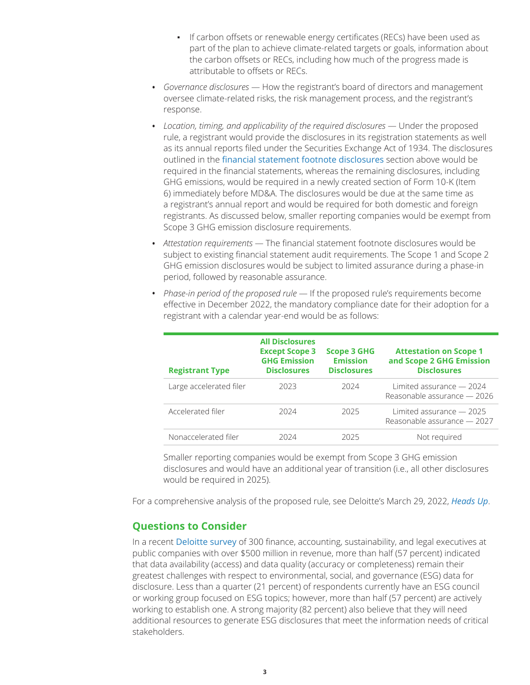- **•** If carbon offsets or renewable energy certificates (RECs) have been used as part of the plan to achieve climate-related targets or goals, information about the carbon offsets or RECs, including how much of the progress made is attributable to offsets or RECs.
- *Governance disclosures* How the registrant's board of directors and management oversee climate-related risks, the risk management process, and the registrant's response.
- *Location, timing, and applicability of the required disclosures* Under the proposed rule, a registrant would provide the disclosures in its registration statements as well as its annual reports filed under the Securities Exchange Act of 1934. The disclosures outlined in the [financial statement footnote disclosures](#page-1-1) section above would be required in the financial statements, whereas the remaining disclosures, including GHG emissions, would be required in a newly created section of Form 10-K (Item 6) immediately before MD&A. The disclosures would be due at the same time as a registrant's annual report and would be required for both domestic and foreign registrants. As discussed below, smaller reporting companies would be exempt from Scope 3 GHG emission disclosure requirements.
- *Attestation requirements* The financial statement footnote disclosures would be subject to existing financial statement audit requirements. The Scope 1 and Scope 2 GHG emission disclosures would be subject to limited assurance during a phase-in period, followed by reasonable assurance.

| <b>Registrant Type</b>  | <b>All Disclosures</b><br><b>Except Scope 3</b><br><b>GHG Emission</b><br><b>Disclosures</b> | <b>Scope 3 GHG</b><br><b>Emission</b><br><b>Disclosures</b> | <b>Attestation on Scope 1</b><br>and Scope 2 GHG Emission<br><b>Disclosures</b> |
|-------------------------|----------------------------------------------------------------------------------------------|-------------------------------------------------------------|---------------------------------------------------------------------------------|
| Large accelerated filer | 2023                                                                                         | 2024                                                        | Limited assurance $-2024$<br>Reasonable assurance - 2026                        |
| Accelerated filer       | 2024                                                                                         | 2025                                                        | Limited assurance $-2025$<br>Reasonable assurance - 2027                        |
| Nonaccelerated filer    | 2024                                                                                         | 2025                                                        | Not required                                                                    |

• *Phase-in period of the proposed rule* — If the proposed rule's requirements become effective in December 2022, the mandatory compliance date for their adoption for a registrant with a calendar year-end would be as follows:

Smaller reporting companies would be exempt from Scope 3 GHG emission disclosures and would have an additional year of transition (i.e., all other disclosures would be required in 2025).

For a comprehensive analysis of the proposed rule, see Deloitte's March 29, 2022, *[Heads Up](https://dart.deloitte.com/USDART/home/publications/deloitte/heads-up/2022/sec-analysis-climate-disclosures)*.

#### <span id="page-2-0"></span>**Questions to Consider**

In a recent [Deloitte survey](https://www2.deloitte.com/us/en/pages/about-deloitte/articles/press-releases/us-public-companies-prepare-for-increasing-demand-for-high-quality-esg-disclosures.html) of 300 finance, accounting, sustainability, and legal executives at public companies with over \$500 million in revenue, more than half (57 percent) indicated that data availability (access) and data quality (accuracy or completeness) remain their greatest challenges with respect to environmental, social, and governance (ESG) data for disclosure. Less than a quarter (21 percent) of respondents currently have an ESG council or working group focused on ESG topics; however, more than half (57 percent) are actively working to establish one. A strong majority (82 percent) also believe that they will need additional resources to generate ESG disclosures that meet the information needs of critical stakeholders.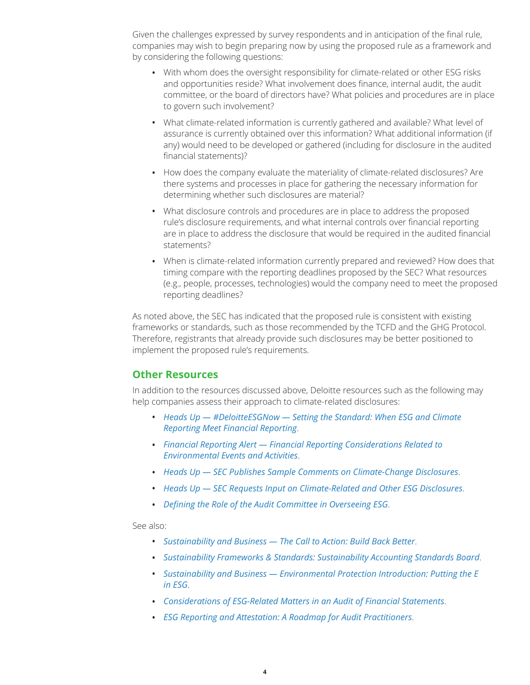Given the challenges expressed by survey respondents and in anticipation of the final rule, companies may wish to begin preparing now by using the proposed rule as a framework and by considering the following questions:

- With whom does the oversight responsibility for climate-related or other ESG risks and opportunities reside? What involvement does finance, internal audit, the audit committee, or the board of directors have? What policies and procedures are in place to govern such involvement?
- What climate-related information is currently gathered and available? What level of assurance is currently obtained over this information? What additional information (if any) would need to be developed or gathered (including for disclosure in the audited financial statements)?
- How does the company evaluate the materiality of climate-related disclosures? Are there systems and processes in place for gathering the necessary information for determining whether such disclosures are material?
- What disclosure controls and procedures are in place to address the proposed rule's disclosure requirements, and what internal controls over financial reporting are in place to address the disclosure that would be required in the audited financial statements?
- When is climate-related information currently prepared and reviewed? How does that timing compare with the reporting deadlines proposed by the SEC? What resources (e.g., people, processes, technologies) would the company need to meet the proposed reporting deadlines?

As noted above, the SEC has indicated that the proposed rule is consistent with existing frameworks or standards, such as those recommended by the TCFD and the GHG Protocol. Therefore, registrants that already provide such disclosures may be better positioned to implement the proposed rule's requirements.

#### <span id="page-3-0"></span>**Other Resources**

In addition to the resources discussed above, Deloitte resources such as the following may help companies assess their approach to climate-related disclosures:

- *[Heads Up #DeloitteESGNow Setting the Standard: When ESG and Climate](https://dart.deloitte.com/USDART/home/publications/deloitte/heads-up/2021/esg-cop26)  [Reporting Meet Financial Reporting](https://dart.deloitte.com/USDART/home/publications/deloitte/heads-up/2021/esg-cop26)*.
- *[Financial Reporting Alert Financial Reporting Considerations Related to](https://dart.deloitte.com/USDART/home/publications/deloitte/financial-reporting-alerts/2021/environmental-events)  [Environmental Events and Activities](https://dart.deloitte.com/USDART/home/publications/deloitte/financial-reporting-alerts/2021/environmental-events)*.
- *[Heads Up SEC Publishes Sample Comments on Climate-Change Disclosures](https://dart.deloitte.com/USDART/home/publications/deloitte/heads-up/2021/sec-comments-climate-change-disclosures)*.
- *[Heads Up SEC Requests Input on Climate-Related and Other ESG Disclosures](https://dart.deloitte.com/USDART/home/publications/deloitte/heads-up/2021/sec-climate-related-and-other-esg-disclosures)*.
- *[Defining the Role of the Audit Committee in Overseeing ESG](https://www2.deloitte.com/us/en/pages/center-for-board-effectiveness/articles/defining-the-role-of-the-audit-committee-in-overseeing-ESG.html)*.

See also:

- *[Sustainability and Business The Call to Action: Build Back Better](https://www.cgma.org/resources/reports/sustainability-and-business-the-call-to-action-build-back-better.html?vngagetrans=LTvELYVlKcLubKQYbsMG)*.
- *[Sustainability Frameworks & Standards: Sustainability Accounting Standards Board](https://www.cgma.org/resources/reports/sustainability-frameworks-and-standards-sustainability-accounting-standards-board.html?vngagetrans=LTvELYVlKcLubKQYbsMG)*.
- *[Sustainability and Business Environmental Protection Introduction: Putting the E](https://insights.cgma.org/story/sasb_epi-putting-the-e-in-esg/?draft=93b11a13-2db7-45e4-9ad5-5d1fd670e7e5&vngagetrans=011yRoULZYlAsYZ5Nvdh)  [in ESG](https://insights.cgma.org/story/sasb_epi-putting-the-e-in-esg/?draft=93b11a13-2db7-45e4-9ad5-5d1fd670e7e5&vngagetrans=011yRoULZYlAsYZ5Nvdh)*.
- *[Considerations of ESG-Related Matters in an Audit of Financial Statements](https://www.aicpa.org/resources/download/considerations-of-esg-related-matters-in-an-audit-of-financial-statements)*.
- *[ESG Reporting and Attestation: A Roadmap for Audit Practitioners](https://us.aicpa.org/content/dam/aicpa/interestareas/businessindustryandgovernment/resources/sustainability/downloadabledocuments/caq-esg-reporting-and-attestation-roadmap-2021-Feb-v2.pdf)*.